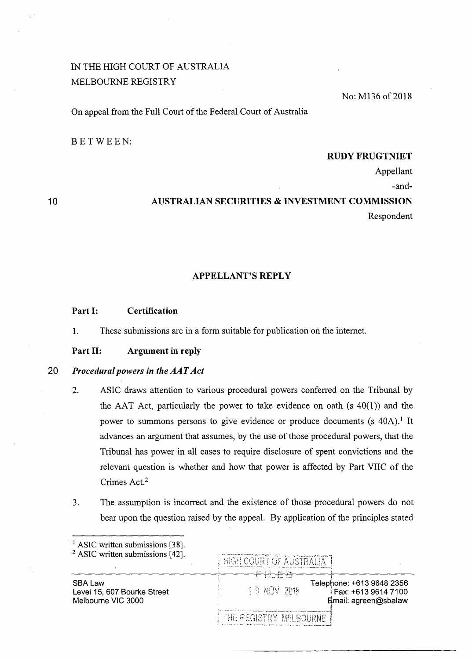# IN THE HIGH COURT OF AUSTRALIA MELBOURNE REGISTRY

No: M136 of 2018

On appeal from the Full Court of the Federal Court of Australia

BETWEEN:

## RUDY FRUGTNIET

Appellant

-and-

10

## AUSTRALIAN SECURITIES & INVESTMENT COMMISSION Respondent

### APPELLANT'S REPLY

#### Part I: Certification

1. These submissions are in a form suitable for publication on the internet.

Part II: Argument in reply

## 20 *Procedural powers in the AAT Act*

<sup>1</sup>ASIC written submissions [3 8].

- 2. ASIC draws attention to various procedural powers conferred on the Tribunal by the AAT Act, particularly the power to take evidence on oath  $(s 40(1))$  and the power to summons persons to give evidence or produce documents (s  $40A$ ).<sup>1</sup> It advances an argument that assumes, by the use of those procedural powers, that the Tribunal has power in all cases to require disclosure of spent convictions and the relevant question is whether and how that power is affected by Part VIIC of the Crimes Act.<sup>2</sup>
- 3. The assumption is incorrect and the existence of those procedural powers do not bear upon the question raised by the appeal. By application of the principles stated

| ASIC WHIteh submissions (50).<br>$2$ ASIC written submissions [42]. | man berkama kedaya keter terdiri dan berasal dan berasal dan berasal dan berasal dan berasal dan berasal dan b<br>Selain dan berasal dan berasal dan berasal dan berasal dan berasal dan berasal dan berasal dan berasal dan ber<br><b>HIGH COURT OF AUSTRALIA</b> |
|---------------------------------------------------------------------|--------------------------------------------------------------------------------------------------------------------------------------------------------------------------------------------------------------------------------------------------------------------|
| SBA Law<br>Level 15, 607 Bourke Street<br>Melbourne VIC 3000        | 327.3<br>Telephone: +613 9648 2356<br>生生 兄弟父 プロおく<br>Fax: +613 9614 7100<br>Email: agreen@sbalaw                                                                                                                                                                   |
|                                                                     | I THE REGISTRY MELBOURNE                                                                                                                                                                                                                                           |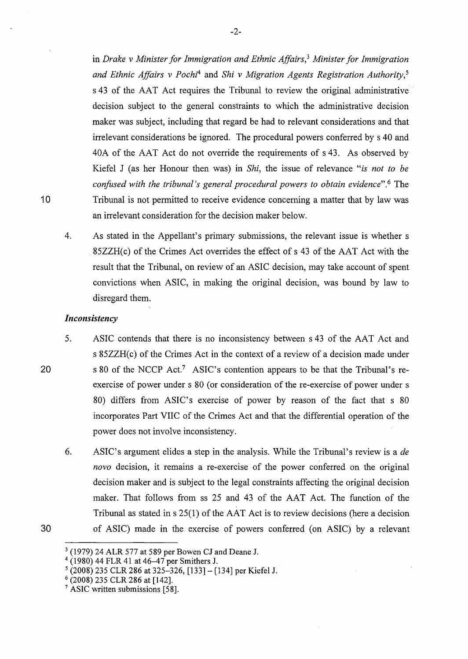in *Drake v Minister for Immigration and Ethnic Affairs,3 Minister for Immigration and Ethnic Affairs v Pochi4* and *Shi v Migration Agents Registration Authority,5*  s 43 of the AAT Act requires the Tribunal to review the original administrative decision subject to the general constraints to which the administrative decision maker was subject, including that regard be had to relevant considerations and that irrelevant considerations be ignored. The procedural powers conferred by s 40 and 40A of the AAT Act do not override the requirements of s 43. As observed by Kiefel J (as her Honour then was) in *Shi,* the issue of relevance *"is not to be confused with the tribunal's general procedural powers to obtain evidence".6* The Tribunal is not permitted to receive evidence concerning a matter that by law was an irrelevant consideration for the decision maker below.

4. As stated in the Appellant's primary submissions, the relevant issue is whether s 85ZZH( c) of the Crimes Act overrides the effect of s 43 of the AAT Act with the result that the Tribunal, on review of an ASIC decision, may take account of spent convictions when ASIC, in making the original decision, was bound by law to disregard them.

## *Inconsistency*

- 5. ASIC contends that there is no inconsistency between s 43 of the AAT Act and s 85ZZH(c) of the Crimes Act in the context of a review of a decision made under s 80 of the NCCP Act.7 ASIC's contention appears to be that the Tribunal's reexercise of power under s 80 (or consideration of the re-exercise of power under s 80) differs from ASIC's exercise of power by reason of the fact that s 80 incorporates Part VIIC of the Crimes Act and that the differential operation of the power does not involve inconsistency.
- 6. ASIC's argument elides a step in the analysis. While the Tribunal's review is a *de novo* decision, it remains a re-exercise of the power conferred on the original decision maker and is subject to the legal constraints affecting the original decision maker. That follows from ss 25 and 43 of the AAT Act. The function of the Tribunal as stated in  $s$  25(1) of the AAT Act is to review decisions (here a decision of ASIC) made in the. exercise of powers conferred (on ASIC) by a relevant
- 30

20

10

 $3$  (1979) 24 ALR 577 at 589 per Bowen CJ and Deane J.  $4$  (1980) 44 FLR 41 at 46–47 per Smithers J.

 $5(2008)$  235 CLR 286 at 325-326, [133] - [134] per Kiefel J. 6 (2008) 235 CLR 286 at [142].

<sup>&</sup>lt;sup>7</sup> ASIC written submissions [58].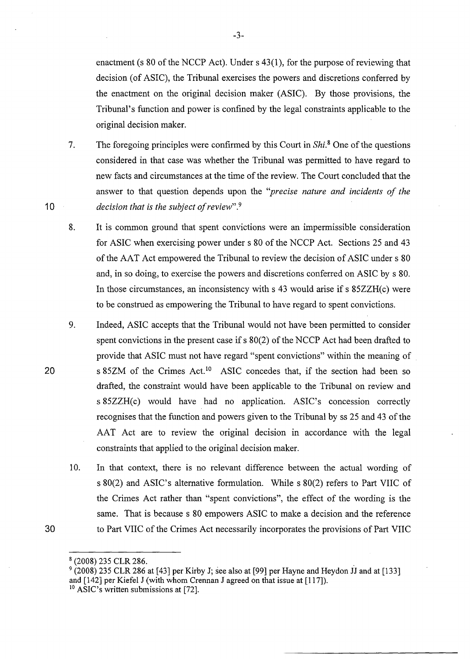enactment (s 80 of the NCCP Act). Under s 43(1), for the purpose of reviewing that decision (of ASIC), the Tribunal exercises the powers and discretions conferred by the enactment on the original decision maker (ASIC). By those provisions, the Tribunal's function and power is confined by the legal constraints applicable to the original decision maker.

- 7. The foregoing principles were confirmed by this Court in *Shi*.<sup>8</sup> One of the questions considered in that case was whether the Tribunal was permitted to have regard to new facts and circumstances at the time of the review. The Court concluded that the answer to that question depends upon the *''precise nature and incidents of the decision that is the subject of review".*<sup>9</sup>
- 8. It is common ground that spent convictions were an impermissible consideration for ASIC when exercising power under s 80 of the NCCP Act. Sections 25 and 43 of the AAT Act empowered the Tribunal to review the decision of ASIC under s 80 and, in so doing, to exercise the powers and discretions conferred on ASIC by s 80. In those circumstances, an inconsistency with s 43 would arise if s 85ZZH(c) were to be construed as empowering the Tribunal to have regard to spent convictions.
- 9. Indeed, ASIC accepts that the Tribunal would not have been permitted to consider spent convictions in the present case if s 80(2) of the NCCP Act had been drafted to provide that ASIC must not have regard "spent convictions" within the meaning of s 85ZM of the Crimes Act.<sup>10</sup> ASIC concedes that, if the section had been so drafted, the constraint would have been applicable to the Tribunal on review and s 85ZZH(c) would have had no application. ASIC's concession correctly recognises that the function and powers given to the Tribunal by ss 25 and 43 of the AAT Act are to review the original decision in accordance with the legal constraints that applied to the original decision maker.
	- 10. In that context, there is no relevant difference between the actual wording of s 80(2) and ASIC's alternative formulation. While s 80(2) refers to Part VIIC of the Crimes Act rather than "spent convictions", the effect of the wording is the same. That is because s 80 empowers ASIC to make a decision and the reference to Part VIIC of the Crimes Act necessarily incorporates the provisions of Part VIIC

10

20

30

-3-

 $^8$  (2008) 235 CLR 286.<br><sup>9</sup> (2008) 235 CLR 286 at [43] per Kirby J; see also at [99] per Hayne and Heydon JJ and at [133] and [142] per Kiefel J (with whom Crennan J agreed on that issue at [117]).

 $10$  ASIC's written submissions at [72].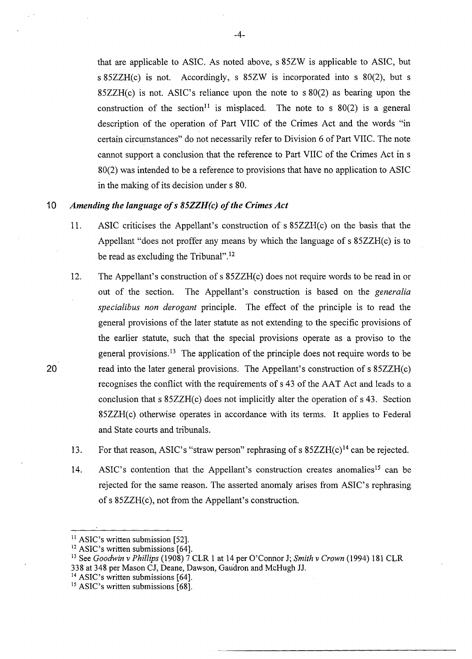that are applicable to ASIC. As noted above, s 85ZW is applicable to ASIC, but s 85ZZH(c) is not. Accordingly, s 85ZW is incorporated into s 80(2), but s 85ZZH(c) is not. ASIC's reliance upon the note to s 80(2) as bearing upon the construction of the section<sup>11</sup> is misplaced. The note to s  $80(2)$  is a general description of the operation of Part VIIC of the Crimes Act and the words "in certain circumstances" do not necessarily refer to Division 6 of Part VIIC. The note cannot support a conclusion that the reference to Part VIIC of the Crimes Act in s 80(2) was intended to be a reference to provisions that have no application to ASIC in the making of its decision under s 80.

## 10 *Amending the language ofs 85ZZH(c) ofthe Crimes Act*

- 11. ASIC criticises the Appellant's construction of s 85ZZH(c) on the basis that the Appellant "does not proffer any means by which the language of s 85ZZH(c) is to be read as excluding the Tribunal".<sup>12</sup>
- 12. The Appellant's construction of s 85ZZH(c) does not require words to be read in or out of the section. The Appellant's construction is based on the *generalia specialibus non derogant* principle. The effect of the principle is to read the general provisions of the later statute as not extending to the specific provisions of the earlier statute, such that the special provisions operate as a proviso to the general provisions. 13 The application of the principle does not require words to be read into the later general provisions. The Appellant's construction of s 85ZZH(c) recognises the conflict with the requirements of s 43 of the AAT Act and leads to a conclusion that s 85ZZH(c) does not implicitly alter the operation of s 43. Section 85ZZH(c) otherwise operates in accordance with its terms. It applies to Federal and State courts and tribunals.
- 13. For that reason, ASIC's "straw person" rephrasing of s  $85ZZH(c)<sup>14</sup>$  can be rejected.
- 14. ASIC's contention that the Appellant's construction creates anomalies<sup>15</sup> can be rejected for the same reason. The asserted anomaly arises from ASIC's rephrasing of s 85ZZH(c), not from the Appellant's construction.

20

<sup>14</sup> ASIC's written submissions [64].

<sup>&</sup>lt;sup>11</sup> ASIC's written submission [52].

<sup>&</sup>lt;sup>12</sup> ASIC's written submissions [64].

<sup>13</sup> See *Goodwin v Phillips* (1908) 7 CLR 1 at 14 per O'Connor J; *Smith v Crown* (1994) 181 CLR 338 at 348 per Mason CJ, Deane, Dawson, Gaudron and McHugh JJ.

<sup>&</sup>lt;sup>15</sup> ASIC's written submissions [68].